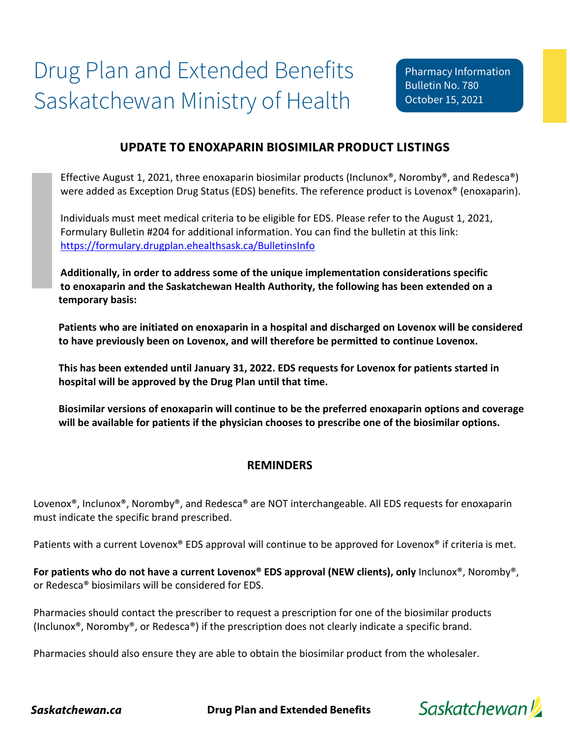# **UPDATE TO ENOXAPARIN BIOSIMILAR PRODUCT LISTINGS**

Effective August 1, 2021, three enoxaparin biosimilar products (Inclunox®, Noromby®, and Redesca®) were added as Exception Drug Status (EDS) benefits. The reference product is Lovenox<sup>®</sup> (enoxaparin).

Individuals must meet medical criteria to be eligible for EDS. Please refer to the August 1, 2021, Formulary Bulletin #204 for additional information. You can find the bulletin at this link: <https://formulary.drugplan.ehealthsask.ca/BulletinsInfo>

**Additionally, in order to address some of the unique implementation considerations specific to enoxaparin and the Saskatchewan Health Authority, the following has been extended on a temporary basis:** 

**Patients who are initiated on enoxaparin in a hospital and discharged on Lovenox will be considered to have previously been on Lovenox, and will therefore be permitted to continue Lovenox.** 

**This has been extended until January 31, 2022. EDS requests for Lovenox for patients started in hospital will be approved by the Drug Plan until that time.** 

**Biosimilar versions of enoxaparin will continue to be the preferred enoxaparin options and coverage will be available for patients if the physician chooses to prescribe one of the biosimilar options.** 

### **REMINDERS**

Lovenox®, Inclunox®, Noromby®, and Redesca® are NOT interchangeable. All EDS requests for enoxaparin must indicate the specific brand prescribed.

Patients with a current Lovenox® EDS approval will continue to be approved for Lovenox® if criteria is met.

**For patients who do not have a current Lovenox® EDS approval (NEW clients), only** Inclunox®, Noromby®, or Redesca® biosimilars will be considered for EDS.

Pharmacies should contact the prescriber to request a prescription for one of the biosimilar products (Inclunox®, Noromby®, or Redesca®) if the prescription does not clearly indicate a specific brand.

Pharmacies should also ensure they are able to obtain the biosimilar product from the wholesaler.



*Saskatchewan.ca* **Drug Plan and Extended Benefits**